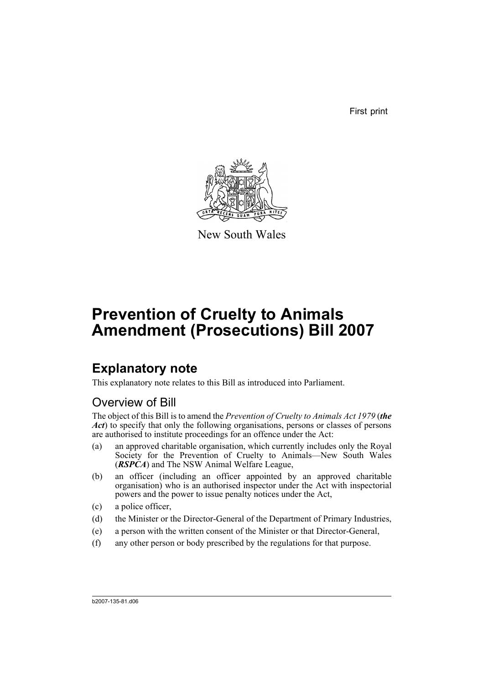First print



New South Wales

# **Prevention of Cruelty to Animals Amendment (Prosecutions) Bill 2007**

## **Explanatory note**

This explanatory note relates to this Bill as introduced into Parliament.

### Overview of Bill

The object of this Bill is to amend the *Prevention of Cruelty to Animals Act 1979* (*the Act*) to specify that only the following organisations, persons or classes of persons are authorised to institute proceedings for an offence under the Act:

- (a) an approved charitable organisation, which currently includes only the Royal Society for the Prevention of Cruelty to Animals—New South Wales (*RSPCA*) and The NSW Animal Welfare League,
- (b) an officer (including an officer appointed by an approved charitable organisation) who is an authorised inspector under the Act with inspectorial powers and the power to issue penalty notices under the Act,
- (c) a police officer,
- (d) the Minister or the Director-General of the Department of Primary Industries,
- (e) a person with the written consent of the Minister or that Director-General,
- (f) any other person or body prescribed by the regulations for that purpose.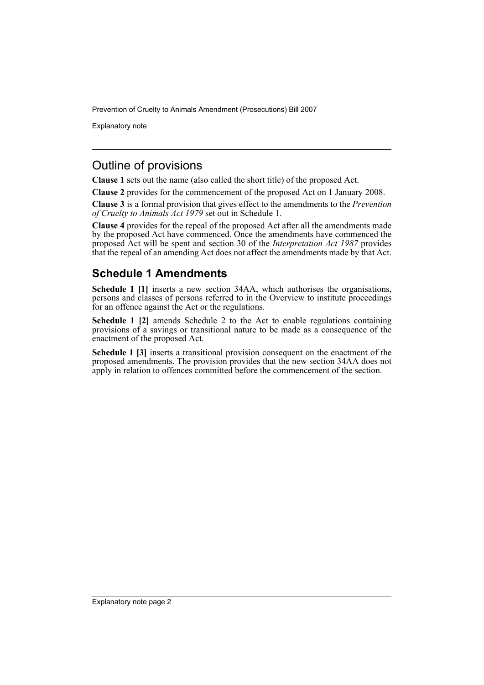Prevention of Cruelty to Animals Amendment (Prosecutions) Bill 2007

Explanatory note

#### Outline of provisions

**Clause 1** sets out the name (also called the short title) of the proposed Act.

**Clause 2** provides for the commencement of the proposed Act on 1 January 2008.

**Clause 3** is a formal provision that gives effect to the amendments to the *Prevention of Cruelty to Animals Act 1979* set out in Schedule 1.

**Clause 4** provides for the repeal of the proposed Act after all the amendments made by the proposed Act have commenced. Once the amendments have commenced the proposed Act will be spent and section 30 of the *Interpretation Act 1987* provides that the repeal of an amending Act does not affect the amendments made by that Act.

#### **Schedule 1 Amendments**

**Schedule 1 [1]** inserts a new section 34AA, which authorises the organisations, persons and classes of persons referred to in the Overview to institute proceedings for an offence against the Act or the regulations.

**Schedule 1 [2]** amends Schedule 2 to the Act to enable regulations containing provisions of a savings or transitional nature to be made as a consequence of the enactment of the proposed Act.

**Schedule 1 [3]** inserts a transitional provision consequent on the enactment of the proposed amendments. The provision provides that the new section 34AA does not apply in relation to offences committed before the commencement of the section.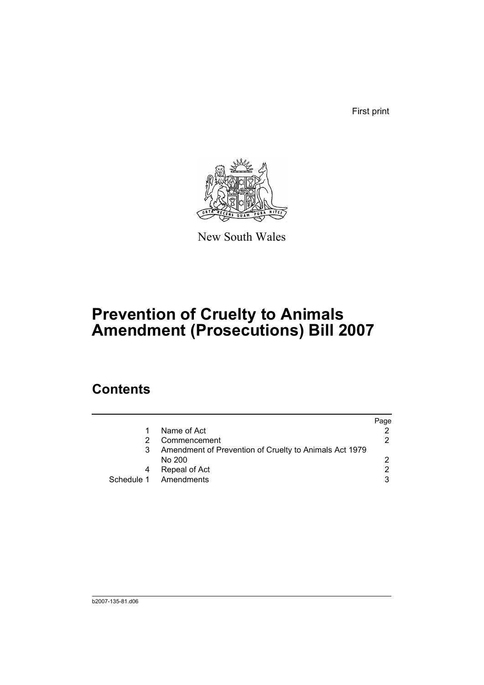First print



New South Wales

# **Prevention of Cruelty to Animals Amendment (Prosecutions) Bill 2007**

### **Contents**

|                                                        | Page          |
|--------------------------------------------------------|---------------|
| Name of Act                                            |               |
| Commencement                                           | 2             |
| Amendment of Prevention of Cruelty to Animals Act 1979 |               |
| No 200                                                 | 2             |
| Repeal of Act                                          | $\mathcal{P}$ |
| Schedule 1 Amendments                                  | 3             |
|                                                        |               |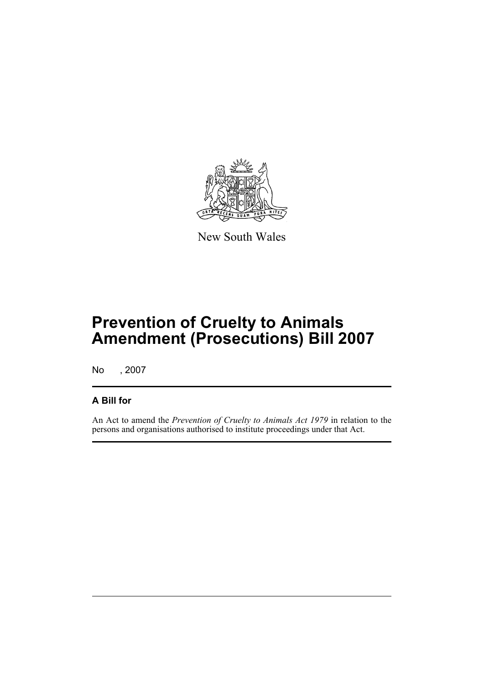

New South Wales

## **Prevention of Cruelty to Animals Amendment (Prosecutions) Bill 2007**

No , 2007

#### **A Bill for**

An Act to amend the *Prevention of Cruelty to Animals Act 1979* in relation to the persons and organisations authorised to institute proceedings under that Act.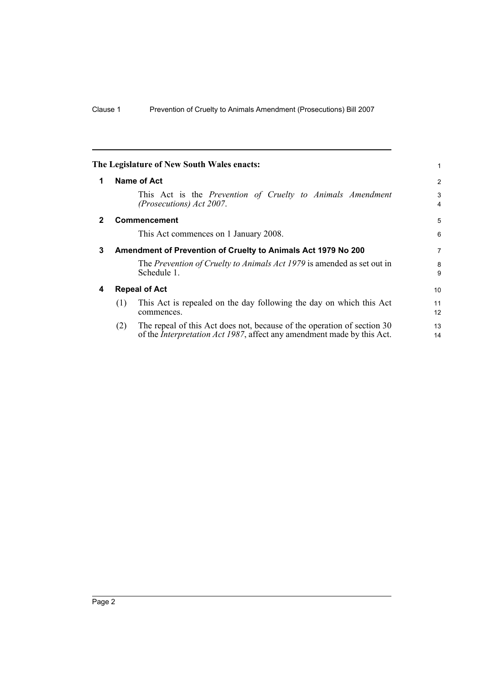<span id="page-5-3"></span><span id="page-5-2"></span><span id="page-5-1"></span><span id="page-5-0"></span>

|              | The Legislature of New South Wales enacts:                                                                                                                       | 1        |
|--------------|------------------------------------------------------------------------------------------------------------------------------------------------------------------|----------|
| 1            | Name of Act                                                                                                                                                      | 2        |
|              | This Act is the Prevention of Cruelty to Animals Amendment<br>(Prosecutions) Act 2007.                                                                           | 3<br>4   |
| $\mathbf{2}$ | <b>Commencement</b>                                                                                                                                              | 5        |
|              | This Act commences on 1 January 2008.                                                                                                                            | 6        |
| 3            | Amendment of Prevention of Cruelty to Animals Act 1979 No 200                                                                                                    | 7        |
|              | The Prevention of Cruelty to Animals Act 1979 is amended as set out in<br>Schedule 1.                                                                            | 8<br>9   |
| 4            | <b>Repeal of Act</b>                                                                                                                                             |          |
|              | This Act is repealed on the day following the day on which this Act<br>(1)<br>commences.                                                                         | 11<br>12 |
|              | The repeal of this Act does not, because of the operation of section 30<br>(2)<br>of the <i>Interpretation Act 1987</i> , affect any amendment made by this Act. | 13<br>14 |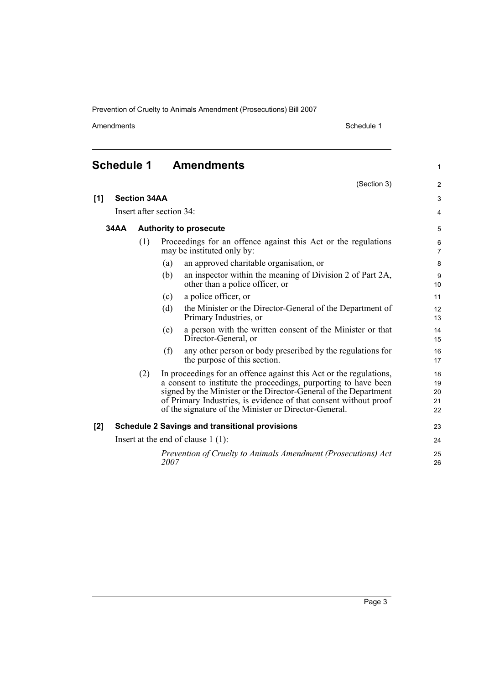Prevention of Cruelty to Animals Amendment (Prosecutions) Bill 2007

Amendments Schedule 1

(Section 3)

1

2

### <span id="page-6-0"></span>**Schedule 1 Amendments**

| [1] |                                                                                                     | <b>Section 34AA</b> |                                                                                                                                                                                                                                                                                                                                        |                                                                                              |          |  |
|-----|-----------------------------------------------------------------------------------------------------|---------------------|----------------------------------------------------------------------------------------------------------------------------------------------------------------------------------------------------------------------------------------------------------------------------------------------------------------------------------------|----------------------------------------------------------------------------------------------|----------|--|
|     | Insert after section 34:                                                                            |                     |                                                                                                                                                                                                                                                                                                                                        |                                                                                              |          |  |
|     | <b>34AA</b><br><b>Authority to prosecute</b>                                                        |                     |                                                                                                                                                                                                                                                                                                                                        |                                                                                              |          |  |
|     | (1)<br>Proceedings for an offence against this Act or the regulations<br>may be instituted only by: |                     |                                                                                                                                                                                                                                                                                                                                        |                                                                                              |          |  |
|     |                                                                                                     |                     | (a)                                                                                                                                                                                                                                                                                                                                    | an approved charitable organisation, or                                                      | 8        |  |
|     |                                                                                                     |                     | (b)                                                                                                                                                                                                                                                                                                                                    | an inspector within the meaning of Division 2 of Part 2A,<br>other than a police officer, or | 9<br>10  |  |
|     |                                                                                                     |                     | (c)                                                                                                                                                                                                                                                                                                                                    | a police officer, or                                                                         | 11       |  |
|     |                                                                                                     |                     | (d)                                                                                                                                                                                                                                                                                                                                    | the Minister or the Director-General of the Department of<br>Primary Industries, or          | 12<br>13 |  |
|     |                                                                                                     |                     | (e)                                                                                                                                                                                                                                                                                                                                    | a person with the written consent of the Minister or that<br>Director-General, or            | 14<br>15 |  |
|     |                                                                                                     |                     | (f)                                                                                                                                                                                                                                                                                                                                    | any other person or body prescribed by the regulations for<br>the purpose of this section.   | 16<br>17 |  |
|     |                                                                                                     | (2)                 | In proceedings for an offence against this Act or the regulations,<br>a consent to institute the proceedings, purporting to have been<br>signed by the Minister or the Director-General of the Department<br>of Primary Industries, is evidence of that consent without proof<br>of the signature of the Minister or Director-General. | 18<br>19<br>20<br>21<br>22                                                                   |          |  |
| [2] |                                                                                                     |                     |                                                                                                                                                                                                                                                                                                                                        | <b>Schedule 2 Savings and transitional provisions</b>                                        | 23       |  |
|     | Insert at the end of clause $1(1)$ :                                                                |                     |                                                                                                                                                                                                                                                                                                                                        |                                                                                              |          |  |
|     |                                                                                                     |                     | 2007                                                                                                                                                                                                                                                                                                                                   | Prevention of Cruelty to Animals Amendment (Prosecutions) Act                                | 25<br>26 |  |